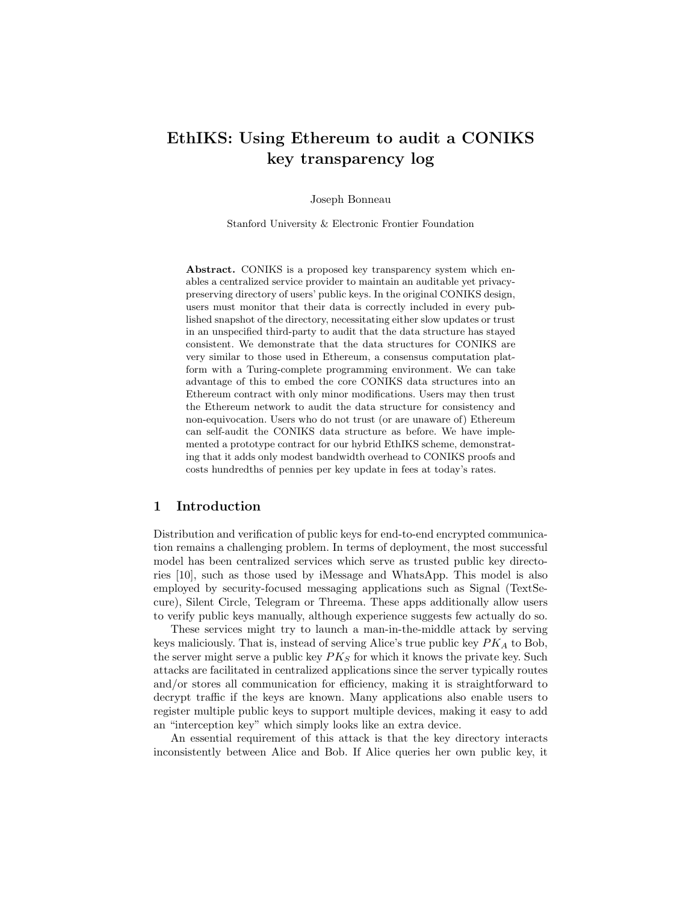# EthIKS: Using Ethereum to audit a CONIKS key transparency log

Joseph Bonneau

Stanford University & Electronic Frontier Foundation

Abstract. CONIKS is a proposed key transparency system which enables a centralized service provider to maintain an auditable yet privacypreserving directory of users' public keys. In the original CONIKS design, users must monitor that their data is correctly included in every published snapshot of the directory, necessitating either slow updates or trust in an unspecified third-party to audit that the data structure has stayed consistent. We demonstrate that the data structures for CONIKS are very similar to those used in Ethereum, a consensus computation platform with a Turing-complete programming environment. We can take advantage of this to embed the core CONIKS data structures into an Ethereum contract with only minor modifications. Users may then trust the Ethereum network to audit the data structure for consistency and non-equivocation. Users who do not trust (or are unaware of) Ethereum can self-audit the CONIKS data structure as before. We have implemented a prototype contract for our hybrid EthIKS scheme, demonstrating that it adds only modest bandwidth overhead to CONIKS proofs and costs hundredths of pennies per key update in fees at today's rates.

#### 1 Introduction

Distribution and verification of public keys for end-to-end encrypted communication remains a challenging problem. In terms of deployment, the most successful model has been centralized services which serve as trusted public key directories [\[10\]](#page-10-0), such as those used by iMessage and WhatsApp. This model is also employed by security-focused messaging applications such as Signal (TextSecure), Silent Circle, Telegram or Threema. These apps additionally allow users to verify public keys manually, although experience suggests few actually do so.

These services might try to launch a man-in-the-middle attack by serving keys maliciously. That is, instead of serving Alice's true public key  $PK_A$  to Bob, the server might serve a public key  $PK_S$  for which it knows the private key. Such attacks are facilitated in centralized applications since the server typically routes and/or stores all communication for efficiency, making it is straightforward to decrypt traffic if the keys are known. Many applications also enable users to register multiple public keys to support multiple devices, making it easy to add an "interception key" which simply looks like an extra device.

An essential requirement of this attack is that the key directory interacts inconsistently between Alice and Bob. If Alice queries her own public key, it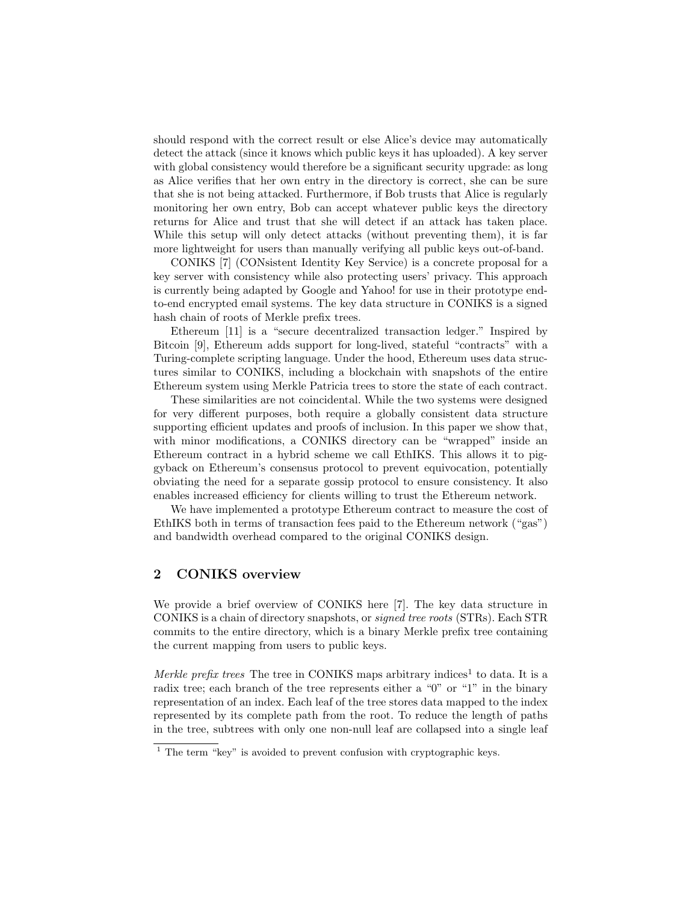should respond with the correct result or else Alice's device may automatically detect the attack (since it knows which public keys it has uploaded). A key server with global consistency would therefore be a significant security upgrade: as long as Alice verifies that her own entry in the directory is correct, she can be sure that she is not being attacked. Furthermore, if Bob trusts that Alice is regularly monitoring her own entry, Bob can accept whatever public keys the directory returns for Alice and trust that she will detect if an attack has taken place. While this setup will only detect attacks (without preventing them), it is far more lightweight for users than manually verifying all public keys out-of-band.

CONIKS [\[7\]](#page-10-1) (CONsistent Identity Key Service) is a concrete proposal for a key server with consistency while also protecting users' privacy. This approach is currently being adapted by Google and Yahoo! for use in their prototype endto-end encrypted email systems. The key data structure in CONIKS is a signed hash chain of roots of Merkle prefix trees.

Ethereum [\[11\]](#page-10-2) is a "secure decentralized transaction ledger." Inspired by Bitcoin [\[9\]](#page-10-3), Ethereum adds support for long-lived, stateful "contracts" with a Turing-complete scripting language. Under the hood, Ethereum uses data structures similar to CONIKS, including a blockchain with snapshots of the entire Ethereum system using Merkle Patricia trees to store the state of each contract.

These similarities are not coincidental. While the two systems were designed for very different purposes, both require a globally consistent data structure supporting efficient updates and proofs of inclusion. In this paper we show that, with minor modifications, a CONIKS directory can be "wrapped" inside an Ethereum contract in a hybrid scheme we call EthIKS. This allows it to piggyback on Ethereum's consensus protocol to prevent equivocation, potentially obviating the need for a separate gossip protocol to ensure consistency. It also enables increased efficiency for clients willing to trust the Ethereum network.

We have implemented a prototype Ethereum contract to measure the cost of EthIKS both in terms of transaction fees paid to the Ethereum network ("gas") and bandwidth overhead compared to the original CONIKS design.

#### 2 CONIKS overview

We provide a brief overview of CONIKS here [\[7\]](#page-10-1). The key data structure in CONIKS is a chain of directory snapshots, or signed tree roots (STRs). Each STR commits to the entire directory, which is a binary Merkle prefix tree containing the current mapping from users to public keys.

Merkle prefix trees The tree in CONIKS maps arbitrary indices<sup>[1](#page-1-0)</sup> to data. It is a radix tree; each branch of the tree represents either a "0" or "1" in the binary representation of an index. Each leaf of the tree stores data mapped to the index represented by its complete path from the root. To reduce the length of paths in the tree, subtrees with only one non-null leaf are collapsed into a single leaf

<span id="page-1-0"></span> $1$  The term "key" is avoided to prevent confusion with cryptographic keys.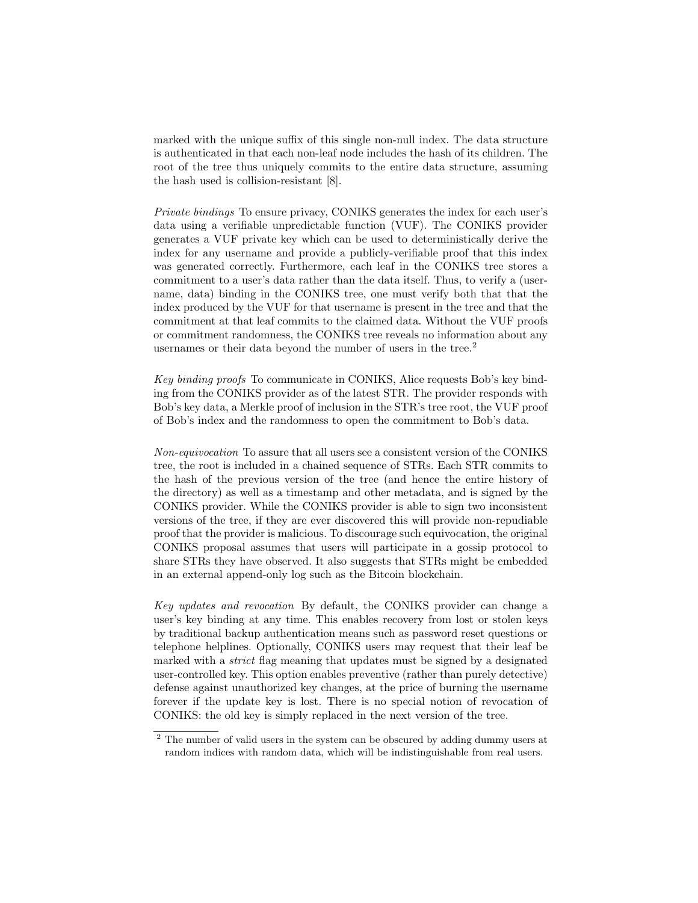marked with the unique suffix of this single non-null index. The data structure is authenticated in that each non-leaf node includes the hash of its children. The root of the tree thus uniquely commits to the entire data structure, assuming the hash used is collision-resistant [\[8\]](#page-10-4).

Private bindings To ensure privacy, CONIKS generates the index for each user's data using a verifiable unpredictable function (VUF). The CONIKS provider generates a VUF private key which can be used to deterministically derive the index for any username and provide a publicly-verifiable proof that this index was generated correctly. Furthermore, each leaf in the CONIKS tree stores a commitment to a user's data rather than the data itself. Thus, to verify a (username, data) binding in the CONIKS tree, one must verify both that that the index produced by the VUF for that username is present in the tree and that the commitment at that leaf commits to the claimed data. Without the VUF proofs or commitment randomness, the CONIKS tree reveals no information about any usernames or their data beyond the number of users in the tree.<sup>[2](#page-2-0)</sup>

Key binding proofs To communicate in CONIKS, Alice requests Bob's key binding from the CONIKS provider as of the latest STR. The provider responds with Bob's key data, a Merkle proof of inclusion in the STR's tree root, the VUF proof of Bob's index and the randomness to open the commitment to Bob's data.

Non-equivocation To assure that all users see a consistent version of the CONIKS tree, the root is included in a chained sequence of STRs. Each STR commits to the hash of the previous version of the tree (and hence the entire history of the directory) as well as a timestamp and other metadata, and is signed by the CONIKS provider. While the CONIKS provider is able to sign two inconsistent versions of the tree, if they are ever discovered this will provide non-repudiable proof that the provider is malicious. To discourage such equivocation, the original CONIKS proposal assumes that users will participate in a gossip protocol to share STRs they have observed. It also suggests that STRs might be embedded in an external append-only log such as the Bitcoin blockchain.

Key updates and revocation By default, the CONIKS provider can change a user's key binding at any time. This enables recovery from lost or stolen keys by traditional backup authentication means such as password reset questions or telephone helplines. Optionally, CONIKS users may request that their leaf be marked with a *strict* flag meaning that updates must be signed by a designated user-controlled key. This option enables preventive (rather than purely detective) defense against unauthorized key changes, at the price of burning the username forever if the update key is lost. There is no special notion of revocation of CONIKS: the old key is simply replaced in the next version of the tree.

<span id="page-2-0"></span><sup>&</sup>lt;sup>2</sup> The number of valid users in the system can be obscured by adding dummy users at random indices with random data, which will be indistinguishable from real users.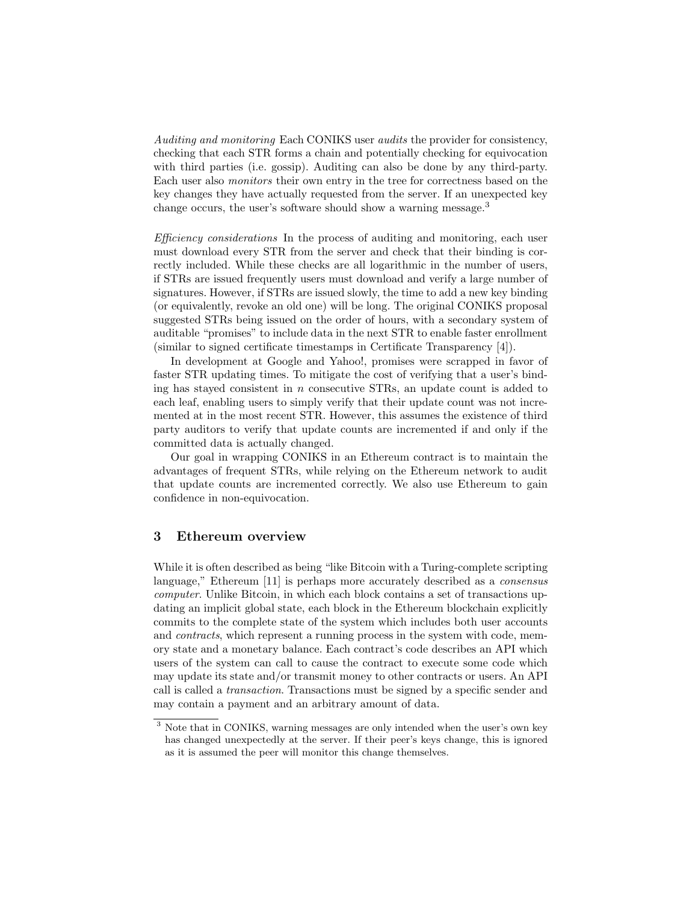Auditing and monitoring Each CONIKS user audits the provider for consistency, checking that each STR forms a chain and potentially checking for equivocation with third parties (i.e. gossip). Auditing can also be done by any third-party. Each user also monitors their own entry in the tree for correctness based on the key changes they have actually requested from the server. If an unexpected key change occurs, the user's software should show a warning message.[3](#page-3-0)

Efficiency considerations In the process of auditing and monitoring, each user must download every STR from the server and check that their binding is correctly included. While these checks are all logarithmic in the number of users, if STRs are issued frequently users must download and verify a large number of signatures. However, if STRs are issued slowly, the time to add a new key binding (or equivalently, revoke an old one) will be long. The original CONIKS proposal suggested STRs being issued on the order of hours, with a secondary system of auditable "promises" to include data in the next STR to enable faster enrollment (similar to signed certificate timestamps in Certificate Transparency [\[4\]](#page-10-5)).

In development at Google and Yahoo!, promises were scrapped in favor of faster STR updating times. To mitigate the cost of verifying that a user's binding has stayed consistent in  $n$  consecutive STRs, an update count is added to each leaf, enabling users to simply verify that their update count was not incremented at in the most recent STR. However, this assumes the existence of third party auditors to verify that update counts are incremented if and only if the committed data is actually changed.

Our goal in wrapping CONIKS in an Ethereum contract is to maintain the advantages of frequent STRs, while relying on the Ethereum network to audit that update counts are incremented correctly. We also use Ethereum to gain confidence in non-equivocation.

#### 3 Ethereum overview

While it is often described as being "like Bitcoin with a Turing-complete scripting language," Ethereum [\[11\]](#page-10-2) is perhaps more accurately described as a consensus computer. Unlike Bitcoin, in which each block contains a set of transactions updating an implicit global state, each block in the Ethereum blockchain explicitly commits to the complete state of the system which includes both user accounts and contracts, which represent a running process in the system with code, memory state and a monetary balance. Each contract's code describes an API which users of the system can call to cause the contract to execute some code which may update its state and/or transmit money to other contracts or users. An API call is called a transaction. Transactions must be signed by a specific sender and may contain a payment and an arbitrary amount of data.

<span id="page-3-0"></span><sup>&</sup>lt;sup>3</sup> Note that in CONIKS, warning messages are only intended when the user's own key has changed unexpectedly at the server. If their peer's keys change, this is ignored as it is assumed the peer will monitor this change themselves.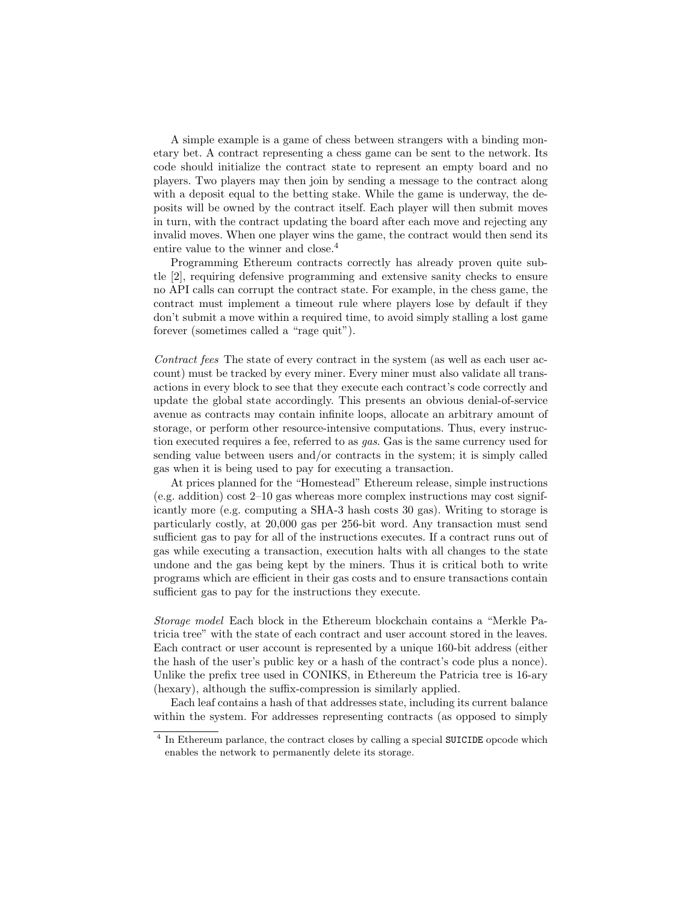A simple example is a game of chess between strangers with a binding monetary bet. A contract representing a chess game can be sent to the network. Its code should initialize the contract state to represent an empty board and no players. Two players may then join by sending a message to the contract along with a deposit equal to the betting stake. While the game is underway, the deposits will be owned by the contract itself. Each player will then submit moves in turn, with the contract updating the board after each move and rejecting any invalid moves. When one player wins the game, the contract would then send its entire value to the winner and close.[4](#page-4-0)

Programming Ethereum contracts correctly has already proven quite subtle [\[2\]](#page-10-6), requiring defensive programming and extensive sanity checks to ensure no API calls can corrupt the contract state. For example, in the chess game, the contract must implement a timeout rule where players lose by default if they don't submit a move within a required time, to avoid simply stalling a lost game forever (sometimes called a "rage quit").

Contract fees The state of every contract in the system (as well as each user account) must be tracked by every miner. Every miner must also validate all transactions in every block to see that they execute each contract's code correctly and update the global state accordingly. This presents an obvious denial-of-service avenue as contracts may contain infinite loops, allocate an arbitrary amount of storage, or perform other resource-intensive computations. Thus, every instruction executed requires a fee, referred to as gas. Gas is the same currency used for sending value between users and/or contracts in the system; it is simply called gas when it is being used to pay for executing a transaction.

At prices planned for the "Homestead" Ethereum release, simple instructions (e.g. addition) cost 2–10 gas whereas more complex instructions may cost significantly more (e.g. computing a SHA-3 hash costs 30 gas). Writing to storage is particularly costly, at 20,000 gas per 256-bit word. Any transaction must send sufficient gas to pay for all of the instructions executes. If a contract runs out of gas while executing a transaction, execution halts with all changes to the state undone and the gas being kept by the miners. Thus it is critical both to write programs which are efficient in their gas costs and to ensure transactions contain sufficient gas to pay for the instructions they execute.

Storage model Each block in the Ethereum blockchain contains a "Merkle Patricia tree" with the state of each contract and user account stored in the leaves. Each contract or user account is represented by a unique 160-bit address (either the hash of the user's public key or a hash of the contract's code plus a nonce). Unlike the prefix tree used in CONIKS, in Ethereum the Patricia tree is 16-ary (hexary), although the suffix-compression is similarly applied.

Each leaf contains a hash of that addresses state, including its current balance within the system. For addresses representing contracts (as opposed to simply

<span id="page-4-0"></span><sup>&</sup>lt;sup>4</sup> In Ethereum parlance, the contract closes by calling a special SUICIDE opcode which enables the network to permanently delete its storage.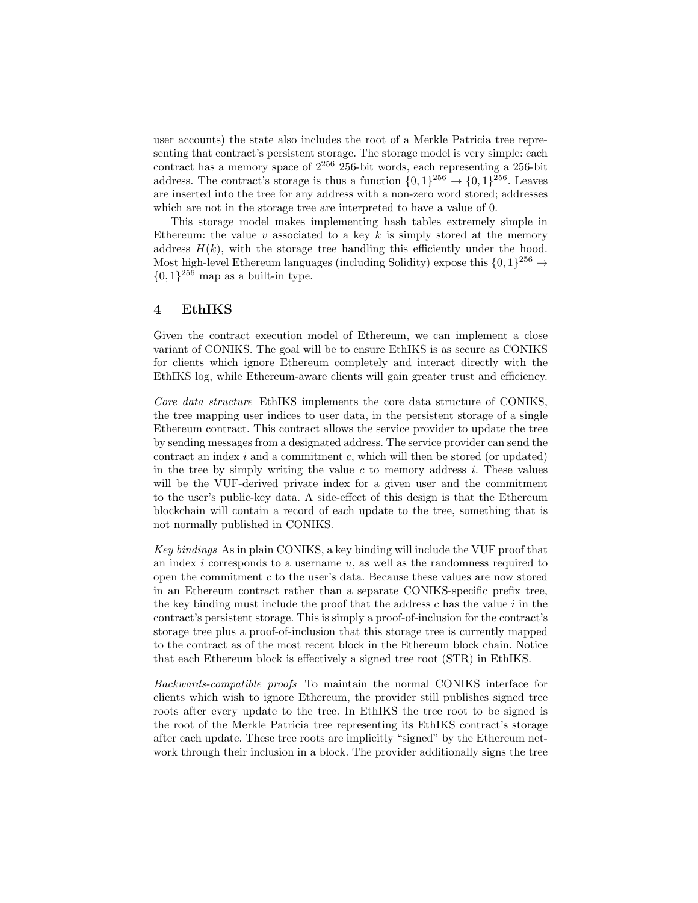user accounts) the state also includes the root of a Merkle Patricia tree representing that contract's persistent storage. The storage model is very simple: each contract has a memory space of  $2^{256}$  256-bit words, each representing a 256-bit address. The contract's storage is thus a function  $\{0,1\}^{256} \rightarrow \{0,1\}^{256}$ . Leaves are inserted into the tree for any address with a non-zero word stored; addresses which are not in the storage tree are interpreted to have a value of 0.

This storage model makes implementing hash tables extremely simple in Ethereum: the value v associated to a key  $k$  is simply stored at the memory address  $H(k)$ , with the storage tree handling this efficiently under the hood. Most high-level Ethereum languages (including Solidity) expose this  $\{0, 1\}^{256} \rightarrow$  ${0,1}^{256}$  map as a built-in type.

#### 4 EthIKS

Given the contract execution model of Ethereum, we can implement a close variant of CONIKS. The goal will be to ensure EthIKS is as secure as CONIKS for clients which ignore Ethereum completely and interact directly with the EthIKS log, while Ethereum-aware clients will gain greater trust and efficiency.

Core data structure EthIKS implements the core data structure of CONIKS, the tree mapping user indices to user data, in the persistent storage of a single Ethereum contract. This contract allows the service provider to update the tree by sending messages from a designated address. The service provider can send the contract an index  $i$  and a commitment  $c$ , which will then be stored (or updated) in the tree by simply writing the value  $c$  to memory address  $i$ . These values will be the VUF-derived private index for a given user and the commitment to the user's public-key data. A side-effect of this design is that the Ethereum blockchain will contain a record of each update to the tree, something that is not normally published in CONIKS.

Key bindings As in plain CONIKS, a key binding will include the VUF proof that an index  $i$  corresponds to a username  $u$ , as well as the randomness required to open the commitment  $c$  to the user's data. Because these values are now stored in an Ethereum contract rather than a separate CONIKS-specific prefix tree, the key binding must include the proof that the address  $c$  has the value  $i$  in the contract's persistent storage. This is simply a proof-of-inclusion for the contract's storage tree plus a proof-of-inclusion that this storage tree is currently mapped to the contract as of the most recent block in the Ethereum block chain. Notice that each Ethereum block is effectively a signed tree root (STR) in EthIKS.

Backwards-compatible proofs To maintain the normal CONIKS interface for clients which wish to ignore Ethereum, the provider still publishes signed tree roots after every update to the tree. In EthIKS the tree root to be signed is the root of the Merkle Patricia tree representing its EthIKS contract's storage after each update. These tree roots are implicitly "signed" by the Ethereum network through their inclusion in a block. The provider additionally signs the tree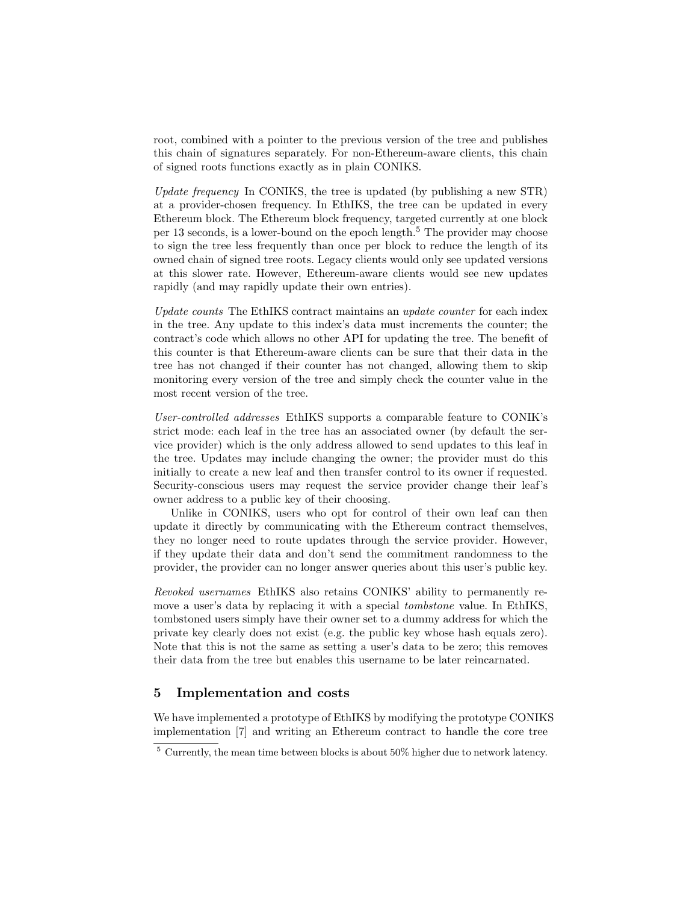root, combined with a pointer to the previous version of the tree and publishes this chain of signatures separately. For non-Ethereum-aware clients, this chain of signed roots functions exactly as in plain CONIKS.

Update frequency In CONIKS, the tree is updated (by publishing a new  $STR$ ) at a provider-chosen frequency. In EthIKS, the tree can be updated in every Ethereum block. The Ethereum block frequency, targeted currently at one block per 13 seconds, is a lower-bound on the epoch length.[5](#page-6-0) The provider may choose to sign the tree less frequently than once per block to reduce the length of its owned chain of signed tree roots. Legacy clients would only see updated versions at this slower rate. However, Ethereum-aware clients would see new updates rapidly (and may rapidly update their own entries).

Update counts The EthIKS contract maintains an update counter for each index in the tree. Any update to this index's data must increments the counter; the contract's code which allows no other API for updating the tree. The benefit of this counter is that Ethereum-aware clients can be sure that their data in the tree has not changed if their counter has not changed, allowing them to skip monitoring every version of the tree and simply check the counter value in the most recent version of the tree.

User-controlled addresses EthIKS supports a comparable feature to CONIK's strict mode: each leaf in the tree has an associated owner (by default the service provider) which is the only address allowed to send updates to this leaf in the tree. Updates may include changing the owner; the provider must do this initially to create a new leaf and then transfer control to its owner if requested. Security-conscious users may request the service provider change their leaf's owner address to a public key of their choosing.

Unlike in CONIKS, users who opt for control of their own leaf can then update it directly by communicating with the Ethereum contract themselves, they no longer need to route updates through the service provider. However, if they update their data and don't send the commitment randomness to the provider, the provider can no longer answer queries about this user's public key.

Revoked usernames EthIKS also retains CONIKS' ability to permanently remove a user's data by replacing it with a special *tombstone* value. In EthIKS, tombstoned users simply have their owner set to a dummy address for which the private key clearly does not exist (e.g. the public key whose hash equals zero). Note that this is not the same as setting a user's data to be zero; this removes their data from the tree but enables this username to be later reincarnated.

#### 5 Implementation and costs

We have implemented a prototype of EthIKS by modifying the prototype CONIKS implementation [\[7\]](#page-10-1) and writing an Ethereum contract to handle the core tree

<span id="page-6-0"></span> $\frac{5}{5}$  Currently, the mean time between blocks is about 50% higher due to network latency.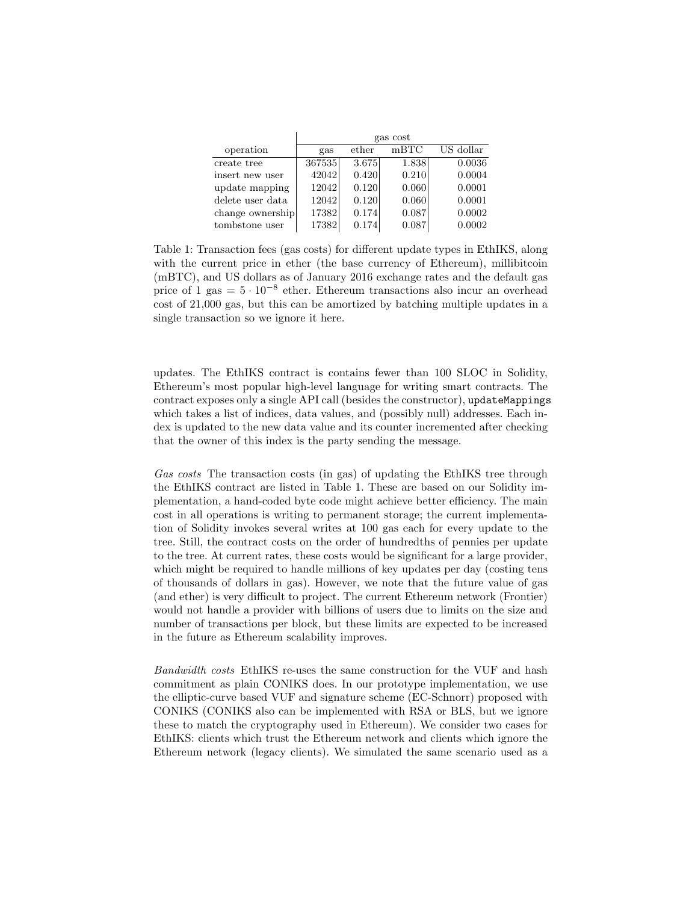<span id="page-7-0"></span>

|                  | gas cost |       |       |           |  |
|------------------|----------|-------|-------|-----------|--|
| operation        | gas      | ether | mBTC  | US dollar |  |
| create tree      | 367535   | 3.675 | 1.838 | 0.0036    |  |
| insert new user  | 42042    | 0.420 | 0.210 | 0.0004    |  |
| update mapping   | 12042    | 0.120 | 0.060 | 0.0001    |  |
| delete user data | 12042    | 0.120 | 0.060 | 0.0001    |  |
| change ownership | 17382    | 0.174 | 0.087 | 0.0002    |  |
| tombstone user   | 17382    | 0.174 | 0.087 | 0.0002    |  |

Table 1: Transaction fees (gas costs) for different update types in EthIKS, along with the current price in ether (the base currency of Ethereum), millibitcoin (mBTC), and US dollars as of January 2016 exchange rates and the default gas price of 1 gas =  $5 \cdot 10^{-8}$  ether. Ethereum transactions also incur an overhead cost of 21,000 gas, but this can be amortized by batching multiple updates in a single transaction so we ignore it here.

updates. The EthIKS contract is contains fewer than 100 SLOC in Solidity, Ethereum's most popular high-level language for writing smart contracts. The contract exposes only a single API call (besides the constructor), updateMappings which takes a list of indices, data values, and (possibly null) addresses. Each index is updated to the new data value and its counter incremented after checking that the owner of this index is the party sending the message.

Gas costs The transaction costs (in gas) of updating the EthIKS tree through the EthIKS contract are listed in Table [1.](#page-7-0) These are based on our Solidity implementation, a hand-coded byte code might achieve better efficiency. The main cost in all operations is writing to permanent storage; the current implementation of Solidity invokes several writes at 100 gas each for every update to the tree. Still, the contract costs on the order of hundredths of pennies per update to the tree. At current rates, these costs would be significant for a large provider, which might be required to handle millions of key updates per day (costing tens of thousands of dollars in gas). However, we note that the future value of gas (and ether) is very difficult to project. The current Ethereum network (Frontier) would not handle a provider with billions of users due to limits on the size and number of transactions per block, but these limits are expected to be increased in the future as Ethereum scalability improves.

Bandwidth costs EthIKS re-uses the same construction for the VUF and hash commitment as plain CONIKS does. In our prototype implementation, we use the elliptic-curve based VUF and signature scheme (EC-Schnorr) proposed with CONIKS (CONIKS also can be implemented with RSA or BLS, but we ignore these to match the cryptography used in Ethereum). We consider two cases for EthIKS: clients which trust the Ethereum network and clients which ignore the Ethereum network (legacy clients). We simulated the same scenario used as a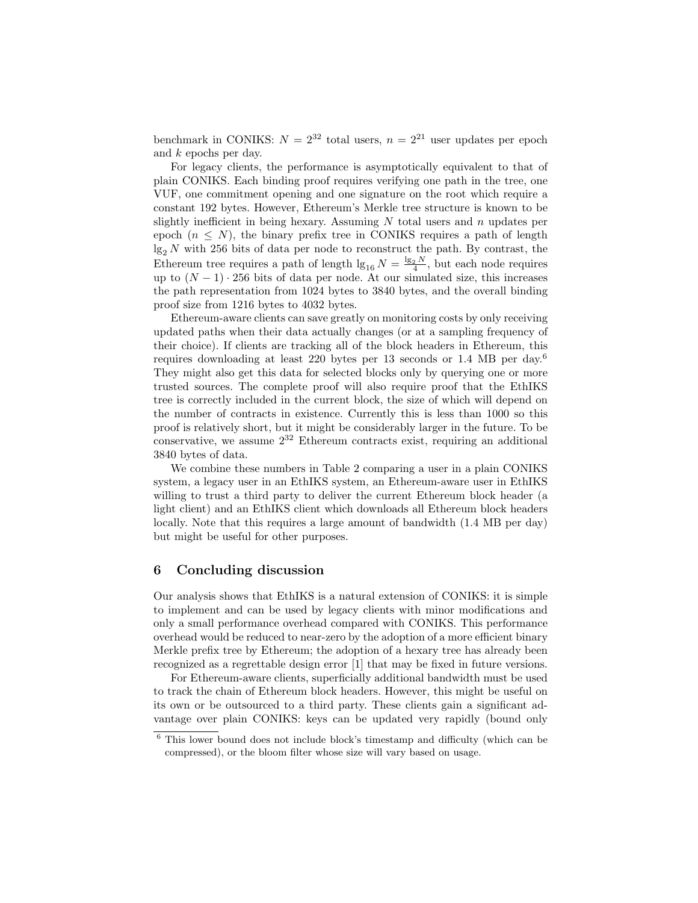benchmark in CONIKS:  $N = 2^{32}$  total users,  $n = 2^{21}$  user updates per epoch and k epochs per day.

For legacy clients, the performance is asymptotically equivalent to that of plain CONIKS. Each binding proof requires verifying one path in the tree, one VUF, one commitment opening and one signature on the root which require a constant 192 bytes. However, Ethereum's Merkle tree structure is known to be slightly inefficient in being hexary. Assuming  $N$  total users and  $n$  updates per epoch  $(n \leq N)$ , the binary prefix tree in CONIKS requires a path of length  $\lg_2 N$  with 256 bits of data per node to reconstruct the path. By contrast, the Ethereum tree requires a path of length  $lg_{16} N = \frac{lg_2 N}{4}$ , but each node requires up to  $(N-1) \cdot 256$  bits of data per node. At our simulated size, this increases the path representation from 1024 bytes to 3840 bytes, and the overall binding proof size from 1216 bytes to 4032 bytes.

Ethereum-aware clients can save greatly on monitoring costs by only receiving updated paths when their data actually changes (or at a sampling frequency of their choice). If clients are tracking all of the block headers in Ethereum, this requires downloading at least 220 bytes per 13 seconds or 1.4 MB per day.[6](#page-8-0) They might also get this data for selected blocks only by querying one or more trusted sources. The complete proof will also require proof that the EthIKS tree is correctly included in the current block, the size of which will depend on the number of contracts in existence. Currently this is less than 1000 so this proof is relatively short, but it might be considerably larger in the future. To be conservative, we assume  $2^{32}$  Ethereum contracts exist, requiring an additional 3840 bytes of data.

We combine these numbers in Table [2](#page-9-0) comparing a user in a plain CONIKS system, a legacy user in an EthIKS system, an Ethereum-aware user in EthIKS willing to trust a third party to deliver the current Ethereum block header (a light client) and an EthIKS client which downloads all Ethereum block headers locally. Note that this requires a large amount of bandwidth (1.4 MB per day) but might be useful for other purposes.

## 6 Concluding discussion

Our analysis shows that EthIKS is a natural extension of CONIKS: it is simple to implement and can be used by legacy clients with minor modifications and only a small performance overhead compared with CONIKS. This performance overhead would be reduced to near-zero by the adoption of a more efficient binary Merkle prefix tree by Ethereum; the adoption of a hexary tree has already been recognized as a regrettable design error [\[1\]](#page-10-7) that may be fixed in future versions.

For Ethereum-aware clients, superficially additional bandwidth must be used to track the chain of Ethereum block headers. However, this might be useful on its own or be outsourced to a third party. These clients gain a significant advantage over plain CONIKS: keys can be updated very rapidly (bound only

<span id="page-8-0"></span> $6$  This lower bound does not include block's timestamp and difficulty (which can be compressed), or the bloom filter whose size will vary based on usage.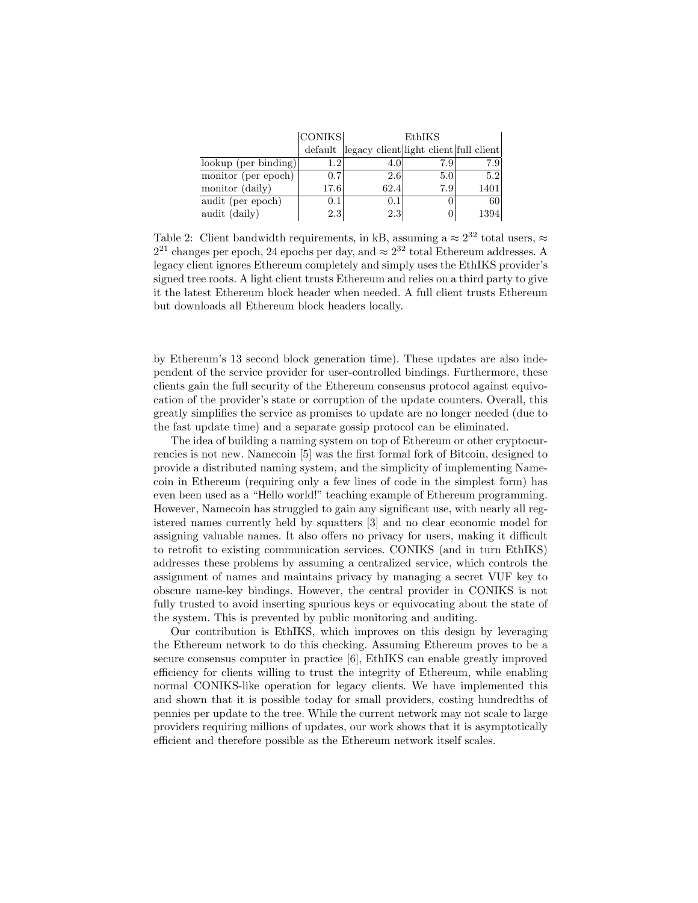<span id="page-9-0"></span>

|                      | <b>CONIKS</b> | EthIKS                                 |     |      |  |
|----------------------|---------------|----------------------------------------|-----|------|--|
|                      | default       | legacy client light client full client |     |      |  |
| lookup (per binding) | 1.2           | 4.0                                    | 7.9 | 7.91 |  |
| monitor (per epoch)  | 0.7           | 2.6                                    | 5.0 | 5.2  |  |
| monitor (daily)      | 17.6          | 62.4                                   | 7.9 | 1401 |  |
| audit (per epoch)    | 0.1           | 0.1                                    |     | 60   |  |
| audit (daily)        | 2.3           | 2.3                                    |     | 1394 |  |

Table 2: Client bandwidth requirements, in kB, assuming a  $\approx 2^{32}$  total users,  $\approx$  $2^{21}$  changes per epoch, 24 epochs per day, and  $\approx 2^{32}$  total Ethereum addresses. A legacy client ignores Ethereum completely and simply uses the EthIKS provider's signed tree roots. A light client trusts Ethereum and relies on a third party to give it the latest Ethereum block header when needed. A full client trusts Ethereum but downloads all Ethereum block headers locally.

by Ethereum's 13 second block generation time). These updates are also independent of the service provider for user-controlled bindings. Furthermore, these clients gain the full security of the Ethereum consensus protocol against equivocation of the provider's state or corruption of the update counters. Overall, this greatly simplifies the service as promises to update are no longer needed (due to the fast update time) and a separate gossip protocol can be eliminated.

The idea of building a naming system on top of Ethereum or other cryptocurrencies is not new. Namecoin [\[5\]](#page-10-8) was the first formal fork of Bitcoin, designed to provide a distributed naming system, and the simplicity of implementing Namecoin in Ethereum (requiring only a few lines of code in the simplest form) has even been used as a "Hello world!" teaching example of Ethereum programming. However, Namecoin has struggled to gain any significant use, with nearly all registered names currently held by squatters [\[3\]](#page-10-9) and no clear economic model for assigning valuable names. It also offers no privacy for users, making it difficult to retrofit to existing communication services. CONIKS (and in turn EthIKS) addresses these problems by assuming a centralized service, which controls the assignment of names and maintains privacy by managing a secret VUF key to obscure name-key bindings. However, the central provider in CONIKS is not fully trusted to avoid inserting spurious keys or equivocating about the state of the system. This is prevented by public monitoring and auditing.

Our contribution is EthIKS, which improves on this design by leveraging the Ethereum network to do this checking. Assuming Ethereum proves to be a secure consensus computer in practice [\[6\]](#page-10-10), EthIKS can enable greatly improved efficiency for clients willing to trust the integrity of Ethereum, while enabling normal CONIKS-like operation for legacy clients. We have implemented this and shown that it is possible today for small providers, costing hundredths of pennies per update to the tree. While the current network may not scale to large providers requiring millions of updates, our work shows that it is asymptotically efficient and therefore possible as the Ethereum network itself scales.